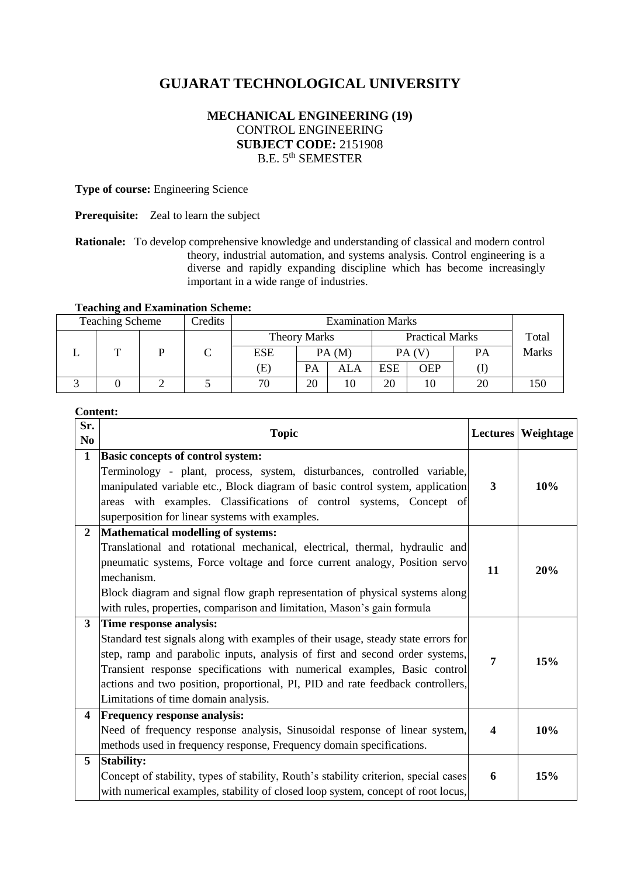# **GUJARAT TECHNOLOGICAL UNIVERSITY**

# **MECHANICAL ENGINEERING (19)** CONTROL ENGINEERING **SUBJECT CODE:** 2151908 B.E. 5th SEMESTER

## **Type of course:** Engineering Science

**Prerequisite:** Zeal to learn the subject

**Rationale:** To develop comprehensive knowledge and understanding of classical and modern control theory, industrial automation, and systems analysis. Control engineering is a diverse and rapidly expanding discipline which has become increasingly important in a wide range of industries.

# **Teaching and Examination Scheme:**

| <b>Teaching Scheme</b><br>Credits |   |  | <b>Examination Marks</b> |                            |                                               |     |            |            |    |       |
|-----------------------------------|---|--|--------------------------|----------------------------|-----------------------------------------------|-----|------------|------------|----|-------|
|                                   |   |  |                          |                            | <b>Practical Marks</b><br><b>Theory Marks</b> |     |            | Total      |    |       |
|                                   | ᡣ |  |                          | <b>ESE</b>                 | PA(M)                                         |     | PA(V)      |            | PА | Marks |
|                                   |   |  |                          | $\left( \mathrm{E}\right)$ | PA                                            | ALA | <b>ESE</b> | <b>OEP</b> |    |       |
|                                   |   |  |                          | 70                         | 20                                            | 10  | 20         | 10         | 20 | 150   |

## **Content:**

| Sr.<br>N <sub>0</sub>   | <b>Topic</b>                                                                                                                                                                                                                                                                                                                                                                                       | <b>Lectures</b>         | Weightage |
|-------------------------|----------------------------------------------------------------------------------------------------------------------------------------------------------------------------------------------------------------------------------------------------------------------------------------------------------------------------------------------------------------------------------------------------|-------------------------|-----------|
| $\mathbf{1}$            | <b>Basic concepts of control system:</b><br>Terminology - plant, process, system, disturbances, controlled variable,<br>manipulated variable etc., Block diagram of basic control system, application<br>areas with examples. Classifications of control systems, Concept of<br>superposition for linear systems with examples.                                                                    | 3                       | 10%       |
| $\overline{2}$          | Mathematical modelling of systems:<br>Translational and rotational mechanical, electrical, thermal, hydraulic and<br>pneumatic systems, Force voltage and force current analogy, Position servo<br>mechanism.<br>Block diagram and signal flow graph representation of physical systems along<br>with rules, properties, comparison and limitation, Mason's gain formula                           | 11                      | 20%       |
| 3                       | Time response analysis:<br>Standard test signals along with examples of their usage, steady state errors for<br>step, ramp and parabolic inputs, analysis of first and second order systems,<br>Transient response specifications with numerical examples, Basic control<br>actions and two position, proportional, PI, PID and rate feedback controllers,<br>Limitations of time domain analysis. | 7                       | 15%       |
| $\overline{\mathbf{4}}$ | <b>Frequency response analysis:</b><br>Need of frequency response analysis, Sinusoidal response of linear system,<br>methods used in frequency response, Frequency domain specifications.                                                                                                                                                                                                          | $\overline{\mathbf{4}}$ | 10%       |
| 5                       | <b>Stability:</b><br>Concept of stability, types of stability, Routh's stability criterion, special cases<br>with numerical examples, stability of closed loop system, concept of root locus,                                                                                                                                                                                                      | 6                       | 15%       |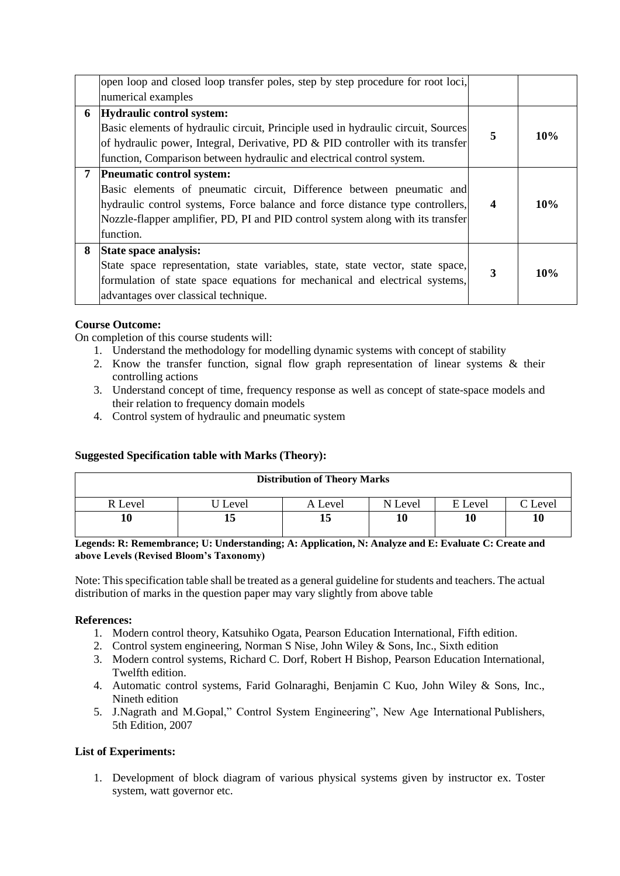|                | open loop and closed loop transfer poles, step by step procedure for root loci,<br>numerical examples                                                                                                                                                                               |                  |     |
|----------------|-------------------------------------------------------------------------------------------------------------------------------------------------------------------------------------------------------------------------------------------------------------------------------------|------------------|-----|
| 6              | Hydraulic control system:                                                                                                                                                                                                                                                           |                  |     |
|                | Basic elements of hydraulic circuit, Principle used in hydraulic circuit, Sources<br>of hydraulic power, Integral, Derivative, PD $\&$ PID controller with its transfer<br>function, Comparison between hydraulic and electrical control system.                                    | 5                | 10% |
| $7\phantom{.}$ | Pneumatic control system:<br>Basic elements of pneumatic circuit, Difference between pneumatic and<br>hydraulic control systems, Force balance and force distance type controllers,<br>Nozzle-flapper amplifier, PD, PI and PID control system along with its transfer<br>function. | $\boldsymbol{4}$ | 10% |
| 8              | State space analysis:<br>State space representation, state variables, state, state vector, state space,<br>formulation of state space equations for mechanical and electrical systems,<br>advantages over classical technique.                                                      | 3                | 10% |

# **Course Outcome:**

On completion of this course students will:

- 1. Understand the methodology for modelling dynamic systems with concept of stability
- 2. Know the transfer function, signal flow graph representation of linear systems & their controlling actions
- 3. Understand concept of time, frequency response as well as concept of state-space models and their relation to frequency domain models
- 4. Control system of hydraulic and pneumatic system

## **Suggested Specification table with Marks (Theory):**

| <b>Distribution of Theory Marks</b> |        |         |         |         |         |  |  |  |
|-------------------------------------|--------|---------|---------|---------|---------|--|--|--|
| R Level                             | Level) | A Level | N Level | E Level | C Level |  |  |  |
| 10                                  | 13     | 15      |         | 10      | 10      |  |  |  |

**Legends: R: Remembrance; U: Understanding; A: Application, N: Analyze and E: Evaluate C: Create and above Levels (Revised Bloom's Taxonomy)**

Note: This specification table shall be treated as a general guideline for students and teachers. The actual distribution of marks in the question paper may vary slightly from above table

## **References:**

- 1. Modern control theory, Katsuhiko Ogata, Pearson Education International, Fifth edition.
- 2. Control system engineering, Norman S Nise, John Wiley & Sons, Inc., Sixth edition
- 3. Modern control systems, Richard C. Dorf, Robert H Bishop, Pearson Education International, Twelfth edition.
- 4. Automatic control systems, Farid Golnaraghi, Benjamin C Kuo, John Wiley & Sons, Inc., Nineth edition
- 5. J.Nagrath and M.Gopal," Control System Engineering", New Age International Publishers, 5th Edition, 2007

## **List of Experiments:**

1. Development of block diagram of various physical systems given by instructor ex. Toster system, watt governor etc.